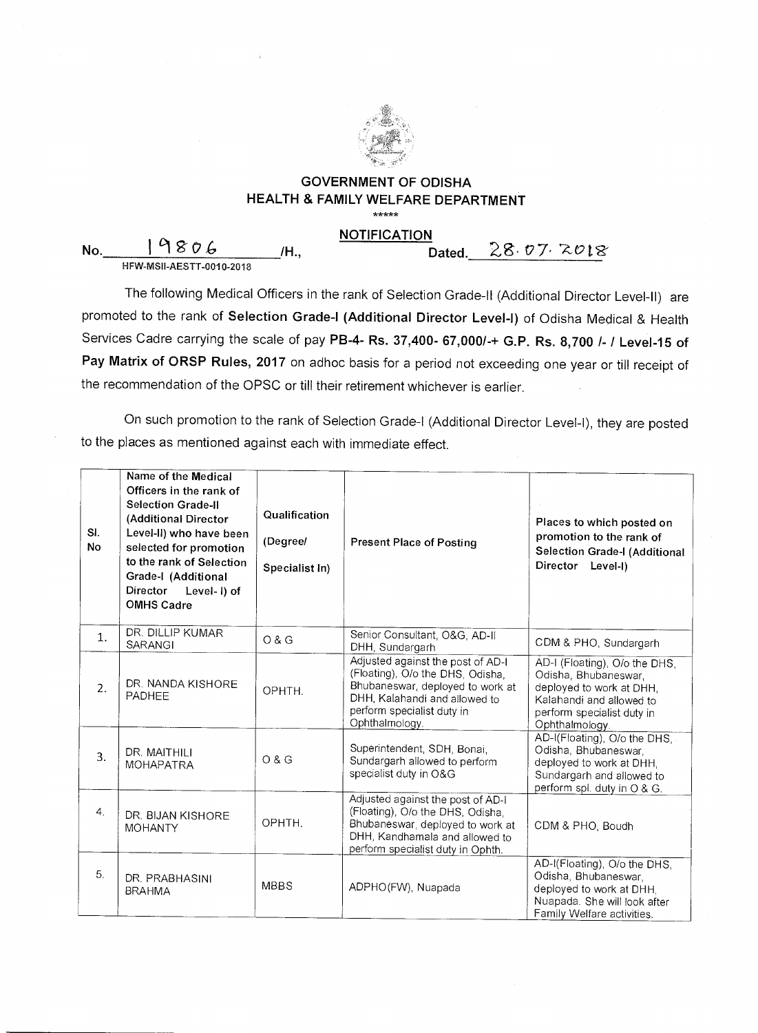

## **GOVERNMENT OF ODISHA HEALTH & FAMILY WELFARE DEPARTMENT**

\*\*\*\*\*

No. 19806 /H., HFW-MSII-AESTT-0010-2018

**NOTIFICATION**<br>Dated. 28.07.2018

The following Medical Officers in the rank of Selection Grade-II (Additional Director Level-II) are promoted to the rank of **Selection Grade-I (Additional Director Level-I)** of Odisha Medical & Health Services Cadre carrying the scale of pay **PB-4- Rs. 37,400- 67,000/-+ G.P. Rs. 8,700 /- / Level-15 of Pay Matrix of ORSP Rules, 2017** on adhoc basis for a period not exceeding one year or till receipt of the recommendation of the OPSC or till their retirement whichever is earlier.

On such promotion to the rank of Selection Grade-I (Additional Director Level-I), they are posted to the places as mentioned against each with immediate effect.

| SI.<br><b>No</b> | Name of the Medical<br>Officers in the rank of<br><b>Selection Grade-II</b><br>(Additional Director<br>Level-II) who have been<br>selected for promotion<br>to the rank of Selection<br>Grade-I (Additional<br><b>Director</b><br>Level-I) of<br><b>OMHS Cadre</b> | Qualification<br>(Degree/<br>Specialist In) | <b>Present Place of Posting</b>                                                                                                                                                            | Places to which posted on<br>promotion to the rank of<br>Selection Grade-I (Additional<br>Director Level-I)                                                   |
|------------------|--------------------------------------------------------------------------------------------------------------------------------------------------------------------------------------------------------------------------------------------------------------------|---------------------------------------------|--------------------------------------------------------------------------------------------------------------------------------------------------------------------------------------------|---------------------------------------------------------------------------------------------------------------------------------------------------------------|
| 1.               | DR. DILLIP KUMAR<br><b>SARANGI</b>                                                                                                                                                                                                                                 | O & G                                       | Senior Consultant, O&G, AD-II<br>DHH, Sundargarh                                                                                                                                           | CDM & PHO, Sundargarh                                                                                                                                         |
| 2.               | DR. NANDA KISHORE<br><b>PADHEE</b>                                                                                                                                                                                                                                 | OPHTH.                                      | Adjusted against the post of AD-I<br>(Floating), O/o the DHS, Odisha,<br>Bhubaneswar, deployed to work at<br>DHH, Kalahandi and allowed to<br>perform specialist duty in<br>Ophthalmology. | AD-I (Floating), O/o the DHS,<br>Odisha, Bhubaneswar,<br>deployed to work at DHH,<br>Kalahandi and allowed to<br>perform specialist duty in<br>Ophthalmology. |
| 3.               | DR. MAITHILI<br><b>MOHAPATRA</b>                                                                                                                                                                                                                                   | O & G                                       | Superintendent, SDH, Bonai,<br>Sundargarh allowed to perform<br>specialist duty in O&G                                                                                                     | AD-I(Floating), O/o the DHS,<br>Odisha, Bhubaneswar,<br>deployed to work at DHH,<br>Sundargarh and allowed to<br>perform spl. duty in O & G.                  |
| 4.               | DR. BIJAN KISHORE<br><b>MOHANTY</b>                                                                                                                                                                                                                                | OPHTH.                                      | Adjusted against the post of AD-I<br>(Floating), O/o the DHS, Odisha,<br>Bhubaneswar, deployed to work at<br>DHH, Kandhamala and allowed to<br>perform specialist duty in Ophth.           | CDM & PHO, Boudh                                                                                                                                              |
| 5.               | DR. PRABHASINI<br><b>BRAHMA</b>                                                                                                                                                                                                                                    | <b>MBBS</b>                                 | ADPHO(FW), Nuapada                                                                                                                                                                         | AD-I(Floating), O/o the DHS,<br>Odisha, Bhubaneswar,<br>deployed to work at DHH,<br>Nuapada. She will look after<br>Family Welfare activities.                |